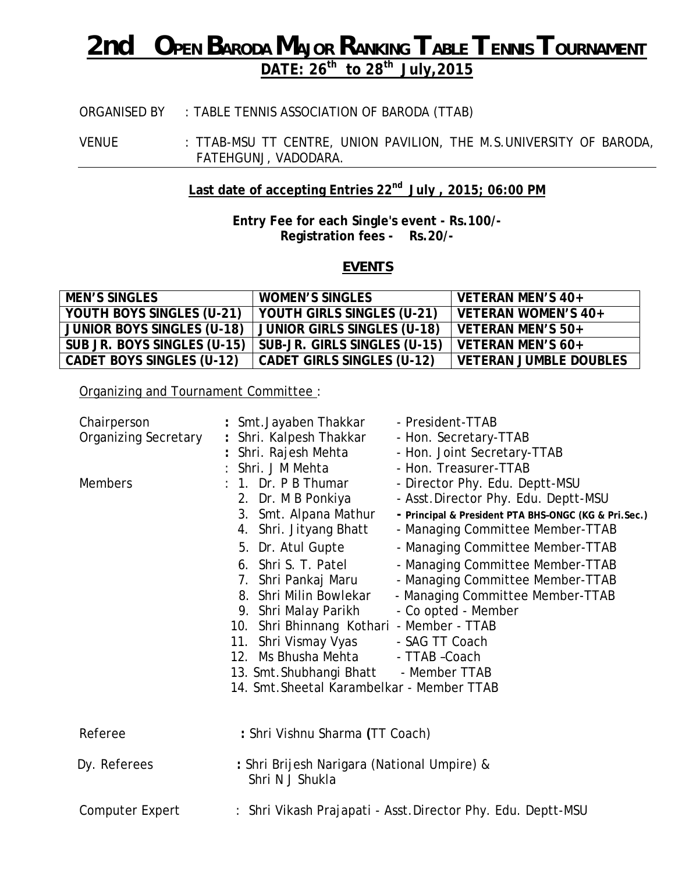# *2nd OPEN BARODA MAJOR RANKING TABLE TENNIS TOURNAMENT* **DATE: 26th to 28th July,2015**

### ORGANISED BY : TABLE TENNIS ASSOCIATION OF BARODA (TTAB)

VENUE : TTAB-MSU TT CENTRE, UNION PAVILION, THE M.S.UNIVERSITY OF BARODA, FATEHGUNJ, VADODARA.

### **Last date of accepting Entries 22nd July , 2015; 06:00 PM**

**Entry Fee for each Single's event - Rs.100/- Registration fees - Rs.20/-**

#### *EVENTS*

| <b>MEN'S SINGLES</b>              | <b>WOMEN'S SINGLES</b>       | VETERAN MEN'S 40+             |
|-----------------------------------|------------------------------|-------------------------------|
| YOUTH BOYS SINGLES (U-21)         | YOUTH GIRLS SINGLES (U-21)   | VETERAN WOMEN'S 40+           |
| <b>JUNIOR BOYS SINGLES (U-18)</b> | JUNIOR GIRLS SINGLES (U-18)  | VETERAN MEN'S 50+             |
| SUB JR. BOYS SINGLES (U-15)       | SUB-JR. GIRLS SINGLES (U-15) | VETERAN MEN'S 60+             |
| <b>CADET BOYS SINGLES (U-12)</b>  | CADET GIRLS SINGLES (U-12)   | <b>VETERAN JUMBLE DOUBLES</b> |

Organizing and Tournament Committee :

| Chairperson                 | : Smt.Jayaben Thakkar<br>- President-TTAB                                                                                                                                                                                                                                                                                                                                                                                                                                                                                                                                                                                                                                                                                                                                        |
|-----------------------------|----------------------------------------------------------------------------------------------------------------------------------------------------------------------------------------------------------------------------------------------------------------------------------------------------------------------------------------------------------------------------------------------------------------------------------------------------------------------------------------------------------------------------------------------------------------------------------------------------------------------------------------------------------------------------------------------------------------------------------------------------------------------------------|
| <b>Organizing Secretary</b> | : Shri. Kalpesh Thakkar<br>- Hon. Secretary-TTAB                                                                                                                                                                                                                                                                                                                                                                                                                                                                                                                                                                                                                                                                                                                                 |
|                             | Shri. Rajesh Mehta<br>- Hon. Joint Secretary-TTAB<br>Shri. J M Mehta<br>- Hon. Treasurer-TTAB                                                                                                                                                                                                                                                                                                                                                                                                                                                                                                                                                                                                                                                                                    |
| <b>Members</b>              | $: 1.$ Dr. P B Thumar<br>- Director Phy. Edu. Deptt-MSU<br>- Asst. Director Phy. Edu. Deptt-MSU<br>2. Dr. M B Ponkiya<br>3. Smt. Alpana Mathur<br>- Principal & President PTA BHS-ONGC (KG & Pri.Sec.)<br>- Managing Committee Member-TTAB<br>4. Shri. Jityang Bhatt<br>5. Dr. Atul Gupte<br>- Managing Committee Member-TTAB<br>6. Shri S. T. Patel<br>- Managing Committee Member-TTAB<br>- Managing Committee Member-TTAB<br>7. Shri Pankaj Maru<br>- Managing Committee Member-TTAB<br>8. Shri Milin Bowlekar<br>- Co opted - Member<br>9. Shri Malay Parikh<br>10. Shri Bhinnang Kothari - Member - TTAB<br>11. Shri Vismay Vyas - SAG TT Coach<br>12. Ms Bhusha Mehta - TTAB-Coach<br>13. Smt. Shubhangi Bhatt - Member TTAB<br>14. Smt. Sheetal Karambelkar - Member TTAB |
| Referee                     | : Shri Vishnu Sharma (TT Coach)                                                                                                                                                                                                                                                                                                                                                                                                                                                                                                                                                                                                                                                                                                                                                  |
| Dy. Referees                | : Shri Brijesh Narigara (National Umpire) &<br>Shri N J Shukla                                                                                                                                                                                                                                                                                                                                                                                                                                                                                                                                                                                                                                                                                                                   |
| <b>Computer Expert</b>      | : Shri Vikash Prajapati - Asst.Director Phy. Edu. Deptt-MSU                                                                                                                                                                                                                                                                                                                                                                                                                                                                                                                                                                                                                                                                                                                      |